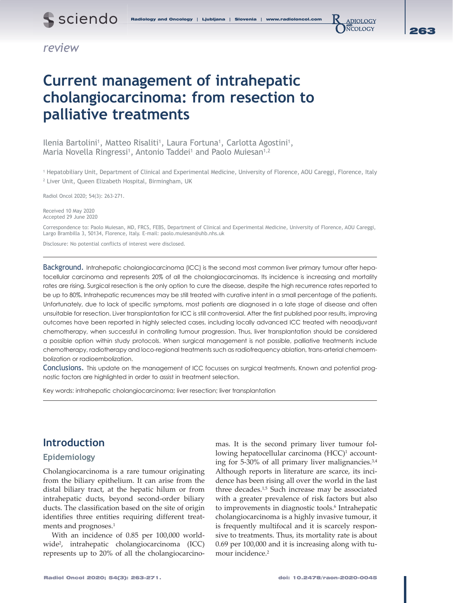**ADIOLOGY NCOLOGY** 

# *review*

# **Current management of intrahepatic cholangiocarcinoma: from resection to palliative treatments**

Ilenia Bartolini<sup>1</sup>, Matteo Risaliti<sup>1</sup>, Laura Fortuna<sup>1</sup>, Carlotta Agostini<sup>1</sup>, Maria Novella Ringressi<sup>1</sup>, Antonio Taddei<sup>1</sup> and Paolo Muiesan<sup>1,2</sup>

1 Hepatobiliary Unit, Department of Clinical and Experimental Medicine, University of Florence, AOU Careggi, Florence, Italy 2 Liver Unit, Queen Elizabeth Hospital, Birmingham, UK

Radiol Oncol 2020; 54(3): 263-271.

Received 10 May 2020 Accepted 29 June 2020

Correspondence to: Paolo Muiesan, MD, FRCS, FEBS, Department of Clinical and Experimental Medicine, University of Florence, AOU Careggi, Largo Brambilla 3, 50134, Florence, Italy. E-mail: paolo.muiesan@uhb.nhs.uk

Disclosure: No potential conflicts of interest were disclosed.

Background. Intrahepatic cholangiocarcinoma (ICC) is the second most common liver primary tumour after hepatocellular carcinoma and represents 20% of all the cholangiocarcinomas. Its incidence is increasing and mortality rates are rising. Surgical resection is the only option to cure the disease, despite the high recurrence rates reported to be up to 80%. Intrahepatic recurrences may be still treated with curative intent in a small percentage of the patients. Unfortunately, due to lack of specific symptoms, most patients are diagnosed in a late stage of disease and often unsuitable for resection. Liver transplantation for ICC is still controversial. After the first published poor results, improving outcomes have been reported in highly selected cases, including locally advanced ICC treated with neoadjuvant chemotherapy, when successful in controlling tumour progression. Thus, liver transplantation should be considered a possible option within study protocols. When surgical management is not possible, palliative treatments include chemotherapy, radiotherapy and loco-regional treatments such as radiofrequency ablation, trans-arterial chemoembolization or radioembolization.

Conclusions. This update on the management of ICC focusses on surgical treatments. Known and potential prognostic factors are highlighted in order to assist in treatment selection.

Key words: intrahepatic cholangiocarcinoma; liver resection; liver transplantation

# **Introduction**

#### **Epidemiology**

Cholangiocarcinoma is a rare tumour originating from the biliary epithelium. It can arise from the distal biliary tract, at the hepatic hilum or from intrahepatic ducts, beyond second-order biliary ducts. The classification based on the site of origin identifies three entities requiring different treatments and prognoses.<sup>1</sup>

With an incidence of 0.85 per 100,000 worldwide2, intrahepatic cholangiocarcinoma (ICC) represents up to 20% of all the cholangiocarcinomas. It is the second primary liver tumour following hepatocellular carcinoma (HCC)<sup>1</sup> accounting for 5-30% of all primary liver malignancies.3,4 Although reports in literature are scarce, its incidence has been rising all over the world in the last three decades.<sup>1,5</sup> Such increase may be associated with a greater prevalence of risk factors but also to improvements in diagnostic tools.<sup>6</sup> Intrahepatic cholangiocarcinoma is a highly invasive tumour, it is frequently multifocal and it is scarcely responsive to treatments. Thus, its mortality rate is about 0.69 per 100,000 and it is increasing along with tumour incidence.<sup>2</sup>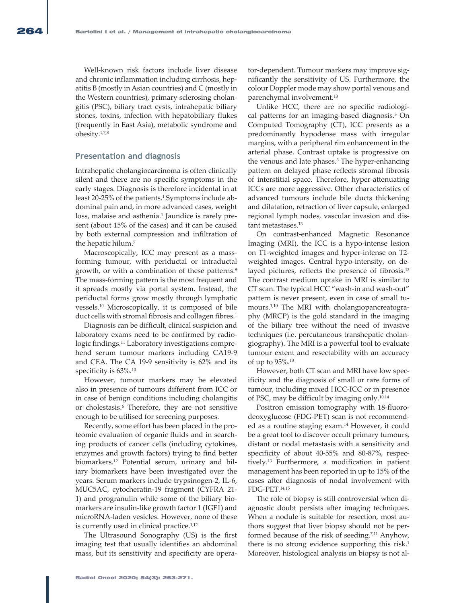Well-known risk factors include liver disease and chronic inflammation including cirrhosis, hepatitis B (mostly in Asian countries) and C (mostly in the Western countries), primary sclerosing cholangitis (PSC), biliary tract cysts, intrahepatic biliary stones, toxins, infection with hepatobiliary flukes (frequently in East Asia), metabolic syndrome and obesity.1,7,8

#### **Presentation and diagnosis**

Intrahepatic cholangiocarcinoma is often clinically silent and there are no specific symptoms in the early stages. Diagnosis is therefore incidental in at least 20-25% of the patients.<sup>1</sup> Symptoms include abdominal pain and, in more advanced cases, weight loss, malaise and asthenia.<sup>1</sup> Jaundice is rarely present (about 15% of the cases) and it can be caused by both external compression and infiltration of the hepatic hilum.7

Macroscopically, ICC may present as a massforming tumour, with periductal or intraductal growth, or with a combination of these patterns.<sup>9</sup> The mass-forming pattern is the most frequent and it spreads mostly via portal system. Instead, the periductal forms grow mostly through lymphatic vessels.10 Microscopically, it is composed of bile duct cells with stromal fibrosis and collagen fibres.<sup>1</sup>

Diagnosis can be difficult, clinical suspicion and laboratory exams need to be confirmed by radiologic findings.<sup>11</sup> Laboratory investigations comprehend serum tumour markers including CA19-9 and CEA. The CA 19-9 sensitivity is 62% and its specificity is  $63\%$ .<sup>10</sup>

However, tumour markers may be elevated also in presence of tumours different from ICC or in case of benign conditions including cholangitis or cholestasis.6 Therefore, they are not sensitive enough to be utilised for screening purposes.

Recently, some effort has been placed in the proteomic evaluation of organic fluids and in searching products of cancer cells (including cytokines, enzymes and growth factors) trying to find better biomarkers.12 Potential serum, urinary and biliary biomarkers have been investigated over the years. Serum markers include trypsinogen-2, IL-6, MUC5AC, cytocheratin-19 fragment (CYFRA 21- 1) and progranulin while some of the biliary biomarkers are insulin-like growth factor 1 (IGF1) and microRNA-laden vesicles. However, none of these is currently used in clinical practice.<sup>1,12</sup>

The Ultrasound Sonography (US) is the first imaging test that usually identifies an abdominal mass, but its sensitivity and specificity are operator-dependent. Tumour markers may improve significantly the sensitivity of US. Furthermore, the colour Doppler mode may show portal venous and parenchymal involvement.13

Unlike HCC, there are no specific radiological patterns for an imaging-based diagnosis.3 On Computed Tomography (CT), ICC presents as a predominantly hypodense mass with irregular margins, with a peripheral rim enhancement in the arterial phase. Contrast uptake is progressive on the venous and late phases.3 The hyper-enhancing pattern on delayed phase reflects stromal fibrosis of interstitial space. Therefore, hyper-attenuating ICCs are more aggressive. Other characteristics of advanced tumours include bile ducts thickening and dilatation, retraction of liver capsule, enlarged regional lymph nodes, vascular invasion and distant metastases.<sup>13</sup>

On contrast-enhanced Magnetic Resonance Imaging (MRI), the ICC is a hypo-intense lesion on T1-weighted images and hyper-intense on T2 weighted images. Central hypo-intensity, on delayed pictures, reflects the presence of fibrosis.13 The contrast medium uptake in MRI is similar to CT scan. The typical HCC "wash-in and wash-out" pattern is never present, even in case of small tumours.1,10 The MRI with cholangiopancreatography (MRCP) is the gold standard in the imaging of the biliary tree without the need of invasive techniques (i.e. percutaneous transhepatic cholangiography). The MRI is a powerful tool to evaluate tumour extent and resectability with an accuracy of up to 95%.13

However, both CT scan and MRI have low specificity and the diagnosis of small or rare forms of tumour, including mixed HCC-ICC or in presence of PSC, may be difficult by imaging only.10,14

Positron emission tomography with 18-fluorodeoxyglucose (FDG-PET) scan is not recommended as a routine staging exam.<sup>14</sup> However, it could be a great tool to discover occult primary tumours, distant or nodal metastasis with a sensitivity and specificity of about 40-55% and 80-87%, respectively.13 Furthermore, a modification in patient management has been reported in up to 15% of the cases after diagnosis of nodal involvement with FDG-PET.14,15

The role of biopsy is still controversial when diagnostic doubt persists after imaging techniques. When a nodule is suitable for resection, most authors suggest that liver biopsy should not be performed because of the risk of seeding.7,11 Anyhow, there is no strong evidence supporting this risk.<sup>1</sup> Moreover, histological analysis on biopsy is not al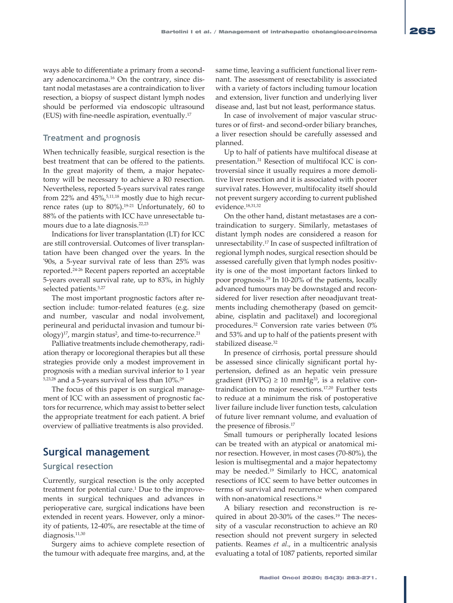ways able to differentiate a primary from a secondary adenocarcinoma.16 On the contrary, since distant nodal metastases are a contraindication to liver resection, a biopsy of suspect distant lymph nodes should be performed via endoscopic ultrasound (EUS) with fine-needle aspiration, eventually.17

## **Treatment and prognosis**

When technically feasible, surgical resection is the best treatment that can be offered to the patients. In the great majority of them, a major hepatectomy will be necessary to achieve a R0 resection. Nevertheless, reported 5-years survival rates range from 22% and  $45\%,^{5,11,18}$  mostly due to high recurrence rates (up to  $80\%$ ).<sup>19-21</sup> Unfortunately, 60 to 88% of the patients with ICC have unresectable tumours due to a late diagnosis.22,23

Indications for liver transplantation (LT) for ICC are still controversial. Outcomes of liver transplantation have been changed over the years. In the '90s, a 5-year survival rate of less than 25% was reported.24-26 Recent papers reported an acceptable 5-years overall survival rate, up to 83%, in highly selected patients.5,27

The most important prognostic factors after resection include: tumor-related features (e.g. size and number, vascular and nodal involvement, perineural and periductal invasion and tumour biology) $^{17}$ , margin status $^2$ , and time-to-recurrence. $^{21}$ 

Palliative treatments include chemotherapy, radiation therapy or locoregional therapies but all these strategies provide only a modest improvement in prognosis with a median survival inferior to 1 year 5,23,28 and a 5-years survival of less than 10%.29

The focus of this paper is on surgical management of ICC with an assessment of prognostic factors for recurrence, which may assist to better select the appropriate treatment for each patient. A brief overview of palliative treatments is also provided.

# **Surgical management**

## **Surgical resection**

Currently, surgical resection is the only accepted treatment for potential cure.<sup>1</sup> Due to the improvements in surgical techniques and advances in perioperative care, surgical indications have been extended in recent years. However, only a minority of patients, 12-40%, are resectable at the time of diagnosis.<sup>11,30</sup>

Surgery aims to achieve complete resection of the tumour with adequate free margins, and, at the same time, leaving a sufficient functional liver remnant. The assessment of resectability is associated with a variety of factors including tumour location and extension, liver function and underlying liver disease and, last but not least, performance status.

In case of involvement of major vascular structures or of first- and second-order biliary branches, a liver resection should be carefully assessed and planned.

Up to half of patients have multifocal disease at presentation.31 Resection of multifocal ICC is controversial since it usually requires a more demolitive liver resection and it is associated with poorer survival rates. However, multifocality itself should not prevent surgery according to current published evidence.18,31,32

On the other hand, distant metastases are a contraindication to surgery. Similarly, metastases of distant lymph nodes are considered a reason for unresectability.17 In case of suspected infiltration of regional lymph nodes, surgical resection should be assessed carefully given that lymph nodes positivity is one of the most important factors linked to poor prognosis.29 In 10-20% of the patients, locally advanced tumours may be downstaged and reconsidered for liver resection after neoadjuvant treatments including chemotherapy (based on gemcitabine, cisplatin and paclitaxel) and locoregional procedures.32 Conversion rate varies between 0% and 53% and up to half of the patients present with stabilized disease.<sup>32</sup>

In presence of cirrhosis, portal pressure should be assessed since clinically significant portal hypertension, defined as an hepatic vein pressure gradient (HVPG)  $\geq 10$  mmHg<sup>33</sup>, is a relative contraindication to major resections.17,20 Further tests to reduce at a minimum the risk of postoperative liver failure include liver function tests, calculation of future liver remnant volume, and evaluation of the presence of fibrosis.17

Small tumours or peripherally located lesions can be treated with an atypical or anatomical minor resection. However, in most cases (70-80%), the lesion is multisegmental and a major hepatectomy may be needed.19 Similarly to HCC, anatomical resections of ICC seem to have better outcomes in terms of survival and recurrence when compared with non-anatomical resections.<sup>34</sup>

A biliary resection and reconstruction is required in about 20-30% of the cases.<sup>19</sup> The necessity of a vascular reconstruction to achieve an R0 resection should not prevent surgery in selected patients. Reames *et al*., in a multicentric analysis evaluating a total of 1087 patients, reported similar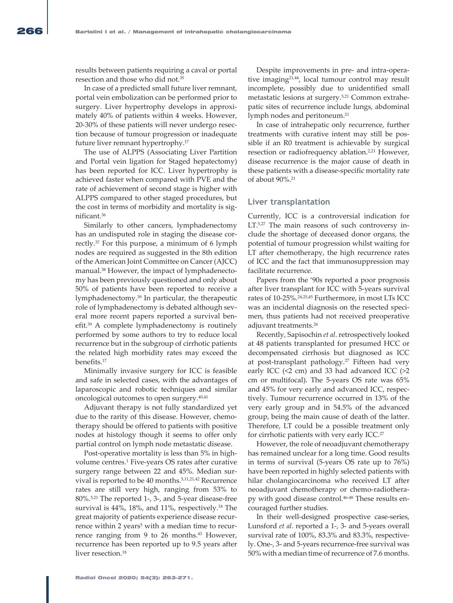results between patients requiring a caval or portal resection and those who did not.35

In case of a predicted small future liver remnant, portal vein embolization can be performed prior to surgery. Liver hypertrophy develops in approximately 40% of patients within 4 weeks. However, 20-30% of these patients will never undergo resection because of tumour progression or inadequate future liver remnant hypertrophy.17

The use of ALPPS (Associating Liver Partition and Portal vein ligation for Staged hepatectomy) has been reported for ICC. Liver hypertrophy is achieved faster when compared with PVE and the rate of achievement of second stage is higher with ALPPS compared to other staged procedures, but the cost in terms of morbidity and mortality is significant.36

Similarly to other cancers, lymphadenectomy has an undisputed role in staging the disease correctly.37 For this purpose, a minimum of 6 lymph nodes are required as suggested in the 8th edition of the American Joint Committee on Cancer (AJCC) manual.38 However, the impact of lymphadenectomy has been previously questioned and only about 50% of patients have been reported to receive a lymphadenectomy.39 In particular, the therapeutic role of lymphadenectomy is debated although several more recent papers reported a survival benefit.39 A complete lymphadenectomy is routinely performed by some authors to try to reduce local recurrence but in the subgroup of cirrhotic patients the related high morbidity rates may exceed the benefits.17

Minimally invasive surgery for ICC is feasible and safe in selected cases, with the advantages of laparoscopic and robotic techniques and similar oncological outcomes to open surgery.40,41

Adjuvant therapy is not fully standardized yet due to the rarity of this disease. However, chemotherapy should be offered to patients with positive nodes at histology though it seems to offer only partial control on lymph node metastatic disease.

Post-operative mortality is less than 5% in highvolume centres.1 Five-years OS rates after curative surgery range between 22 and 45%. Median survival is reported to be 40 months.5,11,21,42 Recurrence rates are still very high, ranging from 53% to 80%.5,21 The reported 1-, 3-, and 5-year disease-free survival is 44%, 18%, and 11%, respectively.<sup>18</sup> The great majority of patients experience disease recurrence within 2 years<sup>5</sup> with a median time to recurrence ranging from 9 to 26 months.<sup>43</sup> However, recurrence has been reported up to 9.5 years after liver resection.<sup>18</sup>

Despite improvements in pre- and intra-operative imaging21,44, local tumour control may result incomplete, possibly due to unidentified small metastatic lesions at surgery.5,21 Common extrahepatic sites of recurrence include lungs, abdominal lymph nodes and peritoneum.<sup>21</sup>

In case of intrahepatic only recurrence, further treatments with curative intent may still be possible if an R0 treatment is achievable by surgical resection or radiofrequency ablation.<sup>2,21</sup> However, disease recurrence is the major cause of death in these patients with a disease-specific mortality rate of about 90%.21

#### **Liver transplantation**

Currently, ICC is a controversial indication for LT.5,27 The main reasons of such controversy include the shortage of deceased donor organs, the potential of tumour progression whilst waiting for LT after chemotherapy, the high recurrence rates of ICC and the fact that immunosuppression may facilitate recurrence.

Papers from the '90s reported a poor prognosis after liver transplant for ICC with 5-years survival rates of 10-25%.<sup>24,25,45</sup> Furthermore, in most LTs ICC was an incidental diagnosis on the resected specimen, thus patients had not received preoperative adjuvant treatments.26

Recently, Sapisochin *et al*. retrospectively looked at 48 patients transplanted for presumed HCC or decompensated cirrhosis but diagnosed as ICC at post-transplant pathology.<sup>27</sup> Fifteen had very early ICC (<2 cm) and 33 had advanced ICC (>2 cm or multifocal). The 5-years OS rate was 65% and 45% for very early and advanced ICC, respectively. Tumour recurrence occurred in 13% of the very early group and in 54.5% of the advanced group, being the main cause of death of the latter. Therefore, LT could be a possible treatment only for cirrhotic patients with very early ICC.27

However, the role of neoadjuvant chemotherapy has remained unclear for a long time. Good results in terms of survival (5-years OS rate up to 76%) have been reported in highly selected patients with hilar cholangiocarcinoma who received LT after neoadjuvant chemotherapy or chemo-radiotherapy with good disease control.46-48 These results encouraged further studies.

In their well-designed prospective case-series, Lunsford *et al*. reported a 1-, 3- and 5-years overall survival rate of 100%, 83.3% and 83.3%, respectively. One-, 3- and 5-years recurrence-free survival was 50% with a median time of recurrence of 7.6 months.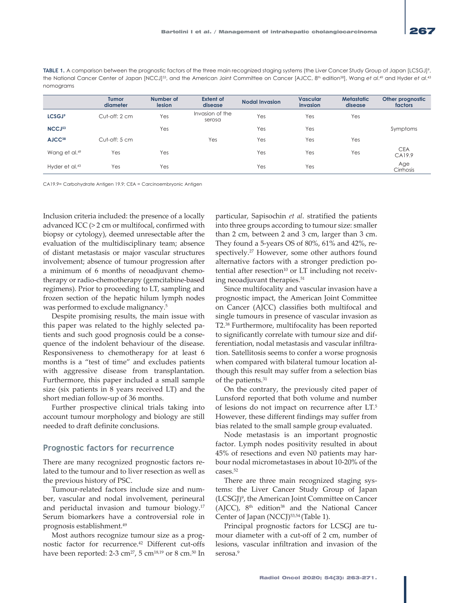TABLE 1. A comparison between the prognostic factors of the three main recognized staging systems (the Liver Cancer Study Group of Japan [LCSGJ]<sup>9</sup>, the National Cancer Center of Japan [NCCJ]<sup>s3</sup>, and the American Joint Committee on Cancer [AJCC, 8<sup>th</sup> edition<sup>38</sup>], Wang et al.<sup>49</sup> and Hyder et al.<sup>43</sup> nomograms

|                            | <b>Tumor</b><br>diameter | Number of<br><b>lesion</b> | <b>Extent of</b><br>disease | <b>Nodal Invasion</b> | <b>Vascular</b><br><i>invasion</i> | <b>Metastatic</b><br>disease | Other prognostic<br>factors |
|----------------------------|--------------------------|----------------------------|-----------------------------|-----------------------|------------------------------------|------------------------------|-----------------------------|
| <b>LCSGJ<sup>9</sup></b>   | Cut-off: 2 cm            | Yes                        | Invasion of the<br>serosa   | Yes                   | Yes                                | Yes                          |                             |
| NCCJ <sub>53</sub>         |                          | Yes                        |                             | Yes                   | Yes                                |                              | Symptoms                    |
| AJCC <sup>38</sup>         | Cut-off: 5 cm            |                            | Yes                         | Yes                   | Yes                                | Yes                          |                             |
| Wang et al. <sup>49</sup>  | Yes                      | Yes                        |                             | Yes                   | Yes                                | Yes                          | <b>CEA</b><br>CA19.9        |
| Hyder et al. <sup>43</sup> | Yes                      | Yes                        |                             | Yes                   | Yes                                |                              | Age<br>Cirrhosis            |

CA19.9= Carbohydrate Antigen 19.9; CEA = Carcinoembryonic Antigen

Inclusion criteria included: the presence of a locally advanced ICC (> 2 cm or multifocal, confirmed with biopsy or cytology), deemed unresectable after the evaluation of the multidisciplinary team; absence of distant metastasis or major vascular structures involvement; absence of tumour progression after a minimum of 6 months of neoadjuvant chemotherapy or radio-chemotherapy (gemcitabine-based regimens). Prior to proceeding to LT, sampling and frozen section of the hepatic hilum lymph nodes was performed to exclude malignancy.5

Despite promising results, the main issue with this paper was related to the highly selected patients and such good prognosis could be a consequence of the indolent behaviour of the disease. Responsiveness to chemotherapy for at least 6 months is a "test of time" and excludes patients with aggressive disease from transplantation. Furthermore, this paper included a small sample size (six patients in 8 years received LT) and the short median follow-up of 36 months.

Further prospective clinical trials taking into account tumour morphology and biology are still needed to draft definite conclusions.

#### **Prognostic factors for recurrence**

There are many recognized prognostic factors related to the tumour and to liver resection as well as the previous history of PSC.

Tumour-related factors include size and number, vascular and nodal involvement, perineural and periductal invasion and tumour biology.17 Serum biomarkers have a controversial role in prognosis establishment.49

Most authors recognize tumour size as a prognostic factor for recurrence.42 Different cut-offs have been reported: 2-3 cm<sup>27</sup>, 5 cm<sup>18,19</sup> or 8 cm.<sup>50</sup> In particular, Sapisochin *et al*. stratified the patients into three groups according to tumour size: smaller than 2 cm, between 2 and 3 cm, larger than 3 cm. They found a 5-years OS of 80%, 61% and 42%, respectively.<sup>27</sup> However, some other authors found alternative factors with a stronger prediction potential after resection<sup>10</sup> or LT including not receiving neoadjuvant therapies.<sup>51</sup>

Since multifocality and vascular invasion have a prognostic impact, the American Joint Committee on Cancer (AJCC) classifies both multifocal and single tumours in presence of vascular invasion as T2.38 Furthermore, multifocality has been reported to significantly correlate with tumour size and differentiation, nodal metastasis and vascular infiltration. Satellitosis seems to confer a worse prognosis when compared with bilateral tumour location although this result may suffer from a selection bias of the patients.<sup>31</sup>

On the contrary, the previously cited paper of Lunsford reported that both volume and number of lesions do not impact on recurrence after LT.5 However, these different findings may suffer from bias related to the small sample group evaluated.

Node metastasis is an important prognostic factor. Lymph nodes positivity resulted in about 45% of resections and even N0 patients may harbour nodal micrometastases in about 10-20% of the cases.52

There are three main recognized staging systems: the Liver Cancer Study Group of Japan (LCSGJ)9 , the American Joint Committee on Cancer (AJCC), 8<sup>th</sup> edition<sup>38</sup> and the National Cancer Center of Japan (NCCJ)<sup>53,54</sup> (Table 1).

Principal prognostic factors for LCSGJ are tumour diameter with a cut-off of 2 cm, number of lesions, vascular infiltration and invasion of the serosa.<sup>9</sup>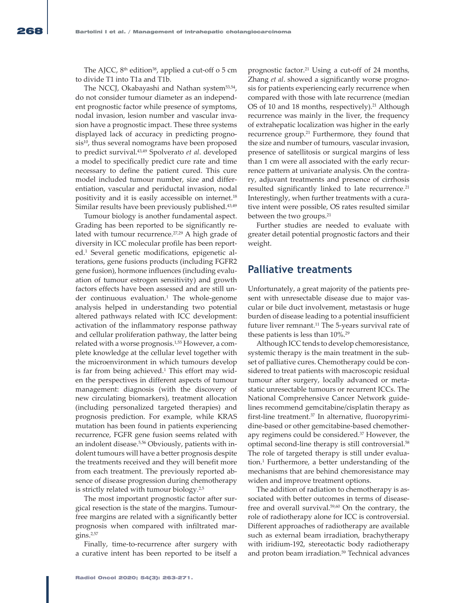The AJCC,  $8<sup>th</sup>$  edition<sup>38</sup>, applied a cut-off o 5 cm to divide T1 into T1a and T1b.

The NCCJ, Okabayashi and Nathan system<sup>53,54</sup>, do not consider tumour diameter as an independent prognostic factor while presence of symptoms, nodal invasion, lesion number and vascular invasion have a prognostic impact. These three systems displayed lack of accuracy in predicting prognosis<sup>10</sup>, thus several nomograms have been proposed to predict survival.43,49 Spolverato *et al*. developed a model to specifically predict cure rate and time necessary to define the patient cured. This cure model included tumour number, size and differentiation, vascular and periductal invasion, nodal positivity and it is easily accessible on internet.18 Similar results have been previously published.<sup>43,49</sup>

Tumour biology is another fundamental aspect. Grading has been reported to be significantly related with tumour recurrence.<sup>27,29</sup> A high grade of diversity in ICC molecular profile has been reported.1 Several genetic modifications, epigenetic alterations, gene fusions products (including FGFR2 gene fusion), hormone influences (including evaluation of tumour estrogen sensitivity) and growth factors effects have been assessed and are still under continuous evaluation.<sup>1</sup> The whole-genome analysis helped in understanding two potential altered pathways related with ICC development: activation of the inflammatory response pathway and cellular proliferation pathway, the latter being related with a worse prognosis.<sup>1,55</sup> However, a complete knowledge at the cellular level together with the microenvironment in which tumours develop is far from being achieved.<sup>1</sup> This effort may widen the perspectives in different aspects of tumour management: diagnosis (with the discovery of new circulating biomarkers), treatment allocation (including personalized targeted therapies) and prognosis prediction. For example, while KRAS mutation has been found in patients experiencing recurrence, FGFR gene fusion seems related with an indolent disease.<sup>5,56</sup> Obviously, patients with indolent tumours will have a better prognosis despite the treatments received and they will benefit more from each treatment. The previously reported absence of disease progression during chemotherapy is strictly related with tumour biology.2,5

The most important prognostic factor after surgical resection is the state of the margins. Tumourfree margins are related with a significantly better prognosis when compared with infiltrated margins.2,57

Finally, time-to-recurrence after surgery with a curative intent has been reported to be itself a prognostic factor.21 Using a cut-off of 24 months, Zhang *et al*. showed a significantly worse prognosis for patients experiencing early recurrence when compared with those with late recurrence (median OS of 10 and 18 months, respectively).<sup>21</sup> Although recurrence was mainly in the liver, the frequency of extrahepatic localization was higher in the early recurrence group.<sup>21</sup> Furthermore, they found that the size and number of tumours, vascular invasion, presence of satellitosis or surgical margins of less than 1 cm were all associated with the early recurrence pattern at univariate analysis. On the contrary, adjuvant treatments and presence of cirrhosis resulted significantly linked to late recurrence.<sup>21</sup> Interestingly, when further treatments with a curative intent were possible, OS rates resulted similar between the two groups.<sup>21</sup>

Further studies are needed to evaluate with greater detail potential prognostic factors and their weight.

#### **Palliative treatments**

Unfortunately, a great majority of the patients present with unresectable disease due to major vascular or bile duct involvement, metastasis or huge burden of disease leading to a potential insufficient future liver remnant.<sup>11</sup> The 5-years survival rate of these patients is less than 10%.29

Although ICC tends to develop chemoresistance, systemic therapy is the main treatment in the subset of palliative cures. Chemotherapy could be considered to treat patients with macroscopic residual tumour after surgery, locally advanced or metastatic unresectable tumours or recurrent ICCs. The National Comprehensive Cancer Network guidelines recommend gemcitabine/cisplatin therapy as first-line treatment.37 In alternative, fluoropyrimidine-based or other gemcitabine-based chemotherapy regimens could be considered.37 However, the optimal second-line therapy is still controversial.<sup>58</sup> The role of targeted therapy is still under evaluation.1 Furthermore, a better understanding of the mechanisms that are behind chemoresistance may widen and improve treatment options.

The addition of radiation to chemotherapy is associated with better outcomes in terms of diseasefree and overall survival.59,60 On the contrary, the role of radiotherapy alone for ICC is controversial. Different approaches of radiotherapy are available such as external beam irradiation, brachytherapy with iridium-192, stereotactic body radiotherapy and proton beam irradiation.<sup>59</sup> Technical advances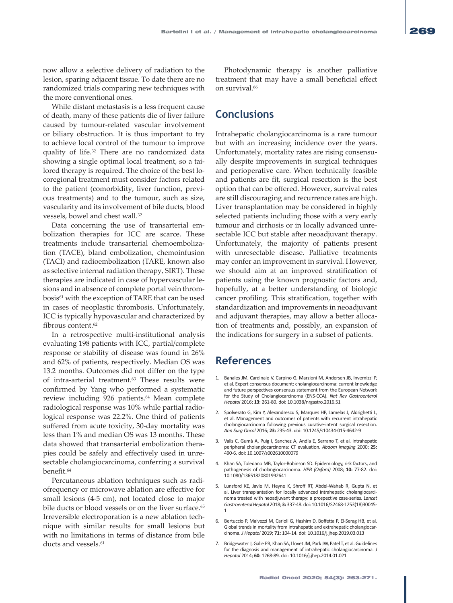now allow a selective delivery of radiation to the lesion, sparing adjacent tissue. To date there are no randomized trials comparing new techniques with the more conventional ones.

While distant metastasis is a less frequent cause of death, many of these patients die of liver failure caused by tumour-related vascular involvement or biliary obstruction. It is thus important to try to achieve local control of the tumour to improve quality of life.32 There are no randomized data showing a single optimal local treatment, so a tailored therapy is required. The choice of the best locoregional treatment must consider factors related to the patient (comorbidity, liver function, previous treatments) and to the tumour, such as size, vascularity and its involvement of bile ducts, blood vessels, bowel and chest wall.32

Data concerning the use of transarterial embolization therapies for ICC are scarce. These treatments include transarterial chemoembolization (TACE), bland embolization, chemoinfusion (TACI) and radioembolization (TARE, known also as selective internal radiation therapy, SIRT). These therapies are indicated in case of hypervascular lesions and in absence of complete portal vein thrombosis<sup>61</sup> with the exception of TARE that can be used in cases of neoplastic thrombosis. Unfortunately, ICC is typically hypovascular and characterized by fibrous content.62

In a retrospective multi-institutional analysis evaluating 198 patients with ICC, partial/complete response or stability of disease was found in 26% and 62% of patients, respectively. Median OS was 13.2 months. Outcomes did not differ on the type of intra-arterial treatment.63 These results were confirmed by Yang who performed a systematic review including 926 patients.<sup>64</sup> Mean complete radiological response was 10% while partial radiological response was 22.2%. One third of patients suffered from acute toxicity, 30-day mortality was less than 1% and median OS was 13 months. These data showed that transarterial embolization therapies could be safely and effectively used in unresectable cholangiocarcinoma, conferring a survival benefit.64

Percutaneous ablation techniques such as radiofrequency or microwave ablation are effective for small lesions (4-5 cm), not located close to major bile ducts or blood vessels or on the liver surface.<sup>65</sup> Irreversible electroporation is a new ablation technique with similar results for small lesions but with no limitations in terms of distance from bile ducts and vessels.<sup>61</sup>

Photodynamic therapy is another palliative treatment that may have a small beneficial effect on survival.66

## **Conclusions**

Intrahepatic cholangiocarcinoma is a rare tumour but with an increasing incidence over the years. Unfortunately, mortality rates are rising consensually despite improvements in surgical techniques and perioperative care. When technically feasible and patients are fit, surgical resection is the best option that can be offered. However, survival rates are still discouraging and recurrence rates are high. Liver transplantation may be considered in highly selected patients including those with a very early tumour and cirrhosis or in locally advanced unresectable ICC but stable after neoadjuvant therapy. Unfortunately, the majority of patients present with unresectable disease. Palliative treatments may confer an improvement in survival. However, we should aim at an improved stratification of patients using the known prognostic factors and, hopefully, at a better understanding of biologic cancer profiling. This stratification, together with standardization and improvements in neoadjuvant and adjuvant therapies, may allow a better allocation of treatments and, possibly, an expansion of the indications for surgery in a subset of patients.

## **References**

- 1. Banales JM, Cardinale V, Carpino G, Marzioni M, Andersen JB, Invernizzi P, et al. Expert consensus document: cholangiocarcinoma: current knowledge and future perspectives consensus statement from the European Network for the Study of Cholangiocarcinoma (ENS-CCA). *Nat Rev Gastroenterol Hepatol* 2016; **13:** 261-80. doi: 10.1038/nrgastro.2016.51
- 2. Spolverato G, Kim Y, Alexandrescu S, Marques HP, Lamelas J, Aldrighetti L, et al. Management and outcomes of patients with recurrent intrahepatic cholangiocarcinoma following previous curative-intent surgical resection. *Ann Surg Oncol* 2016; **23:** 235-43. doi: 10.1245/s10434-015-4642-9
- 3. Valls C, Gumà A, Puig I, Sanchez A, Andía E, Serrano T, et al. Intrahepatic peripheral cholangiocarcinoma: CT evaluation. *Abdom Imaging* 2000; **25:** 490-6. doi: 10.1007/s002610000079
- 4. Khan SA, Toledano MB, Taylor-Robinson SD. Epidemiology, risk factors, and pathogenesis of cholangiocarcinoma. *HPB (Oxford)* 2008; **10:** 77-82. doi: 10.1080/13651820801992641
- 5. Lunsford KE, Javle M, Heyne K, Shroff RT, Abdel-Wahab R, Gupta N, et al. Liver transplantation for locally advanced intrahepatic cholangiocarcinoma treated with neoadjuvant therapy: a prospective case-series. *Lancet Gastroenterol Hepatol* 2018; **3:** 337-48. doi: 10.1016/S2468-1253(18)30045- 1
- 6. Bertuccio P, Malvezzi M, Carioli G, Hashim D, Boffetta P, El-Serag HB, et al. Global trends in mortality from intrahepatic and extrahepatic cholangiocarcinoma. *J Hepatol* 2019; **71:** 104-14. doi: 10.1016/j.jhep.2019.03.013
- 7. Bridgewater J, Galle PR, Khan SA, Llovet JM, Park JW, Patel T, et al. Guidelines for the diagnosis and management of intrahepatic cholangiocarcinoma. *J Hepatol* 2014; **60:** 1268-89. doi: 10.1016/j.jhep.2014.01.021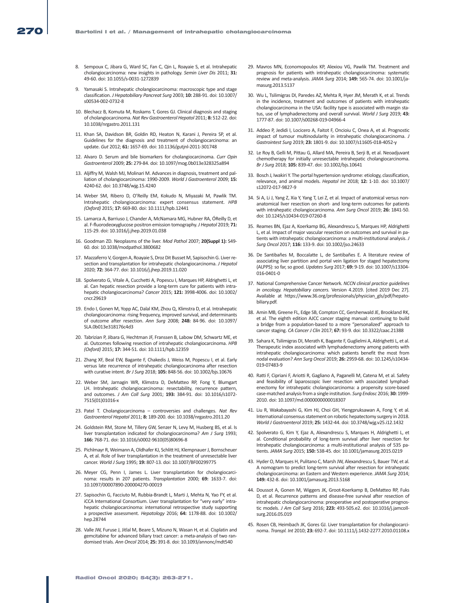- 8. Sempoux C, Jibara G, Ward SC, Fan C, Qin L, Roayaie S, et al. Intrahepatic cholangiocarcinoma: new insights in pathology. *Semin Liver Dis* 2011; **31:** 49-60. doi: 10.1055/s-0031-1272839
- 9. Yamasaki S. Intrahepatic cholangiocarcinoma: macroscopic type and stage classification. *J Hepatobiliary Pancreat Surg* 2003; **10:** 288-91. doi: 10.1007/ s00534-002-0732-8
- 10. Blechacz B, Komuta M, Roskams T, Gores GJ. Clinical diagnosis and staging of cholangiocarcinoma. *Nat Rev Gastroenterol Hepatol* 2011; **8:** 512-22. doi: 10.1038/nrgastro.2011.131
- 11. Khan SA, Davidson BR, Goldin RD, Heaton N, Karani J, Pereira SP, et al. Guidelines for the diagnosis and treatment of cholangiocarcinoma: an update. *Gut* 2012; **61:** 1657-69. doi: 10.1136/gutjnl-2011-301748
- 12. Alvaro D. Serum and bile biomarkers for cholangiocarcinoma. *Curr Opin Gastroenterol* 2009; **25:** 279-84. doi: 10.1097/mog.0b013e328325a894
- 13. Aljiffry M, Walsh MJ, Molinari M. Advances in diagnosis, treatment and palliation of cholangiocarcinoma: 1990-2009. *World J Gastroenterol* 2009; **15:** 4240-62. doi: 10.3748/wjg.15.4240
- 14. Weber SM, Ribero D, O'Reilly EM, Kokudo N, Miyazaki M, Pawlik TM. Intrahepatic cholangiocarcinoma: expert consensus statement. *HPB (Oxford)* 2015; **17:** 669-80. doi: 10.1111/hpb.12441
- 15. Lamarca A, Barriuso J, Chander A, McNamara MG, Hubner RA, ÓReilly D, et al. F-fluorodeoxyglucose positron emission tomography. *J Hepatol* 2019; **71:** 115-29. doi: 10.1016/j.jhep.2019.01.038
- 16. Goodman ZD. Neoplasms of the liver. *Mod Pathol* 2007; **20(Suppl 1):** S49- 60. doi: 10.1038/modpathol.3800682
- 17. Mazzaferro V, Gorgen A, Roayaie S, Droz Dit Busset M, Sapisochin G. Liver resection and transplantation for intrahepatic cholangiocarcinoma. *J Hepatol* 2020; **72:** 364-77. doi: 10.1016/j.jhep.2019.11.020
- 18. Spolverato G, Vitale A, Cucchetti A, Popescu I, Marques HP, Aldrighetti L, et al. Can hepatic resection provide a long-term cure for patients with intrahepatic cholangiocarcinoma? *Cancer* 2015; **121:** 3998-4006. doi: 10.1002/ cncr.29619
- 19. Endo I, Gonen M, Yopp AC, Dalal KM, Zhou Q, Klimstra D, et al. Intrahepatic cholangiocarcinoma: rising frequency, improved survival, and determinants of outcome after resection. *Ann Surg* 2008; **248:** 84-96. doi: 10.1097/ SLA.0b013e318176c4d3
- 20. Tabrizian P, Jibara G, Hechtman JF, Franssen B, Labow DM, Schwartz ME, et al. Outcomes following resection of intrahepatic cholangiocarcinoma. *HPB (Oxford)* 2015; **17:** 344-51. doi: 10.1111/hpb.12359
- 21. Zhang XF, Beal EW, Bagante F, Chakedis J, Weiss M, Popescu I, et al. Early versus late recurrence of intrahepatic cholangiocarcinoma after resection with curative intent. *Br J Surg* 2018; **105:** 848-56. doi: 10.1002/bjs.10676
- 22. Weber SM, Jarnagin WR, Klimstra D, DeMatteo RP, Fong Y, Blumgart LH. Intrahepatic cholangiocarcinoma: resectability, recurrence pattern, and outcomes. *J Am Coll Surg* 2001; **193:** 384-91. doi: 10.1016/s1072- 7515(01)01016-x
- 23. Patel T. Cholangiocarcinoma controversies and challenges. *Nat Rev Gastroenterol Hepatol* 2011; **8:** 189-200. doi: 10.1038/nrgastro.2011.20
- 24. Goldstein RM, Stone M, Tillery GW, Senzer N, Levy M, Husberg BS, et al. Is liver transplantation indicated for cholangiocarcinoma? *Am J Surg* 1993; **166:** 768-71. doi: 10.1016/s0002-9610(05)80696-8
- 25. Pichlmayr R, Weimann A, Oldhafer KJ, Schlitt HJ, Klempnauer J, Bornscheuer A, et al. Role of liver transplantation in the treatment of unresectable liver cancer. *World J Surg* 1995; **19:** 807-13. doi: 10.1007/BF00299775
- 26. Meyer CG, Penn I, James L. Liver transplantation for cholangiocarcinoma: results in 207 patients. *Transplantation* 2000; **69:** 1633-7. doi: 10.1097/00007890-200004270-00019
- 27. Sapisochin G, Facciuto M, Rubbia-Brandt L, Marti J, Mehta N, Yao FY, et al. iCCA International Consortium. Liver transplantation for "very early" intrahepatic cholangiocarcinoma: international retrospective study supporting a prospective assessment. *Hepatology* 2016; **64:** 1178-88. doi: 10.1002/ hep.28744
- 28. Valle JW, Furuse J, Jitlal M, Beare S, Mizuno N, Wasan H, et al. Cisplatin and gemcitabine for advanced biliary tract cancer: a meta-analysis of two randomised trials. *Ann Oncol* 2014; **25:** 391-8. doi: 10.1093/annonc/mdt540
- 29. Mavros MN, Economopoulos KP, Alexiou VG, Pawlik TM. Treatment and prognosis for patients with intrahepatic cholangiocarcinoma: systematic review and meta-analysis. *JAMA Surg* 2014; **149:** 565-74. doi: 10.1001/jamasurg.2013.5137
- 30. Wu L, Tsilimigras DI, Paredes AZ, Mehta R, Hyer JM, Merath K, et al. Trends in the incidence, treatment and outcomes of patients with intrahepatic cholangiocarcinoma in the USA: facility type is associated with margin status, use of lymphadenectomy and overall survival. *World J Surg* 2019; **43:** 1777-87. doi: 10.1007/s00268-019-04966-4
- 31. Addeo P, Jedidi I, Locicero A, Faitot F, Oncioiu C, Onea A, et al. Prognostic impact of tumour multinodularity in intrahepatic cholangiocarcinoma. *J Gastrointest Surg* 2019; **23:** 1801-9. doi: 10.1007/s11605-018-4052-y
- 32. Le Roy B, Gelli M, Pittau G, Allard MA, Pereira B, Serji B, et al. Neoadjuvant chemotherapy for initially unresectable intrahepatic cholangiocarcinoma. *Br J Surg* 2018; **105:** 839-47. doi: 10.1002/bjs.10641
- 33. Bosch J, Iwakiri Y. The portal hypertension syndrome: etiology, classification, relevance, and animal models. *Hepatol Int* 2018; **12:** 1-10. doi: 10.1007/ s12072-017-9827-9
- 34. Si A, Li J, Yang Z, Xia Y, Yang T, Lei Z, et al. Impact of anatomical versus nonanatomical liver resection on short- and long-term outcomes for patients with intrahepatic cholangiocarcinoma. *Ann Surg Oncol* 2019; **26:** 1841-50. doi: 10.1245/s10434-019-07260-8
- 35. Reames BN, Ejaz A, Koerkamp BG, Alexandrescu S, Marques HP, Aldrighetti L, et al. Impact of major vascular resection on outcomes and survival in patients with intrahepatic cholangiocarcinoma: a multi-institutional analysis. *J Surg Oncol* 2017; **116:** 133-9. doi: 10.1002/jso.24633
- 36. De Santibañes M, Boccalatte L, de Santibañes E. A literature review of associating liver partition and portal vein ligation for staged hepatectomy (ALPPS): so far, so good. *Updates Surg* 2017; **69:** 9-19. doi: 10.1007/s13304- 016-0401-0
- 37. National Comprehensive Cancer Network. *NCCN clinical practice guidelines in oncology. Hepatobiliary cancers.* Version 4.2019. [cited 2019 Dec 27]. Available at https://www.36.org/professionals/physician\_gls/pdf/hepatobiliary.pdf.
- 38. Amin MB, Greene FL, Edge SB, Compton CC, Gershenwald JE, Brookland RK, et al. The eighth edition AJCC cancer staging manual: continuing to build a bridge from a population-based to a more "personalized" approach to cancer staging. *CA Cancer J Clin* 2017; **67:** 93-9. doi: 10.3322/caac.21388
- 39. Sahara K, Tsilimigras DI, Merath K, Bagante F, Guglielmi A, Aldrighetti L, et al. Therapeutic index associated with lymphadenectomy among patients with intrahepatic cholangiocarcinoma: which patients benefit the most from nodal evaluation? *Ann Surg Oncol* 2019; **26:** 2959-68. doi: 10.1245/s10434- 019-07483-9
- 40. Ratti F, Cipriani F, Ariotti R, Gagliano A, Paganelli M, Catena M, et al. Safety and feasibility of laparoscopic liver resection with associated lymphadenectomy for intrahepatic cholangiocarcinoma: a propensity score-based case-matched analysis from a single institution. *Surg Endosc* 2016; **30:** 1999- 2010. doi: 10.1097/md.0000000000018307
- 41. Liu R, Wakabayashi G, Kim HJ, Choi GH, Yiengpruksawan A, Fong Y, et al. International consensus statement on robotic hepatectomy surgery in 2018. *World J Gastroenterol* 2019; **25:** 1432-44. doi: 10.3748/wjg.v25.i12.1432
- 42. Spolverato G, Kim Y, Ejaz A, Alexandrescu S, Marques H, Aldrighetti L, et al. Conditional probability of long-term survival after liver resection for Intrahepatic cholangiocarcinoma: a multi-institutional analysis of 535 patients. *JAMA Surg* 2015; **150:** 538-45. doi: 10.1001/jamasurg.2015.0219
- 43. Hyder O, Marques H, Pulitano C, Marsh JW, Alexandrescu S, Bauer TW, et al. A nomogram to predict long-term survival after resection for intrahepatic cholangiocarcinoma: an Eastern and Western experience. *JAMA Surg* 2014; **149:** 432-8. doi: 10.1001/jamasurg.2013.5168
- 44. Doussot A, Gonen M, Wiggers JK, Groot-Koerkamp B, DeMatteo RP, Fuks D, et al. Recurrence patterns and disease-free survival after resection of intrahepatic cholangiocarcinoma: preoperative and postoperative prognostic models. *J Am Coll Surg* 2016; **223:** 493-505.e2. doi: 10.1016/j.jamcollsurg.2016.05.019
- 45. Rosen CB, Heimbach JK, Gores GJ. Liver transplantation for cholangiocarcinoma. *Transpl. Int* 2010; **23:** 692-7. doi: 10.1111/j.1432-2277.2010.01108.x